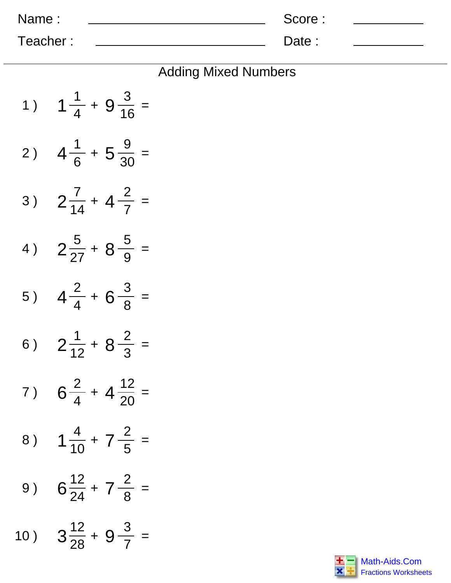| Name:    | Score: |  |
|----------|--------|--|
| Teacher: | Date:  |  |

|  |  | <b>Adding Mixed Numbers</b> |
|--|--|-----------------------------|
|--|--|-----------------------------|

| 1)  | $1\frac{1}{4} + 9\frac{3}{16} =$     |
|-----|--------------------------------------|
| 2)  | $4\frac{1}{6}$ + 5 $\frac{9}{30}$ =  |
| 3)  | $2\frac{7}{14} + 4\frac{2}{7} =$     |
| 4)  | $2\frac{5}{27} + 8\frac{5}{9} =$     |
| 5)  | $4\frac{2}{4}$ + 6 $\frac{3}{8}$ =   |
| 6)  | $2\frac{1}{12} + 8\frac{2}{3}$ =     |
| 7)  | $6\frac{2}{4}$ + 4 $\frac{12}{20}$ = |
| 8)  | $1\frac{4}{10} + 7\frac{2}{5} =$     |
| 9)  | $6\frac{12}{24} + 7\frac{2}{8}$ =    |
| 10) | $3\frac{12}{28} + 9\frac{3}{7} =$    |